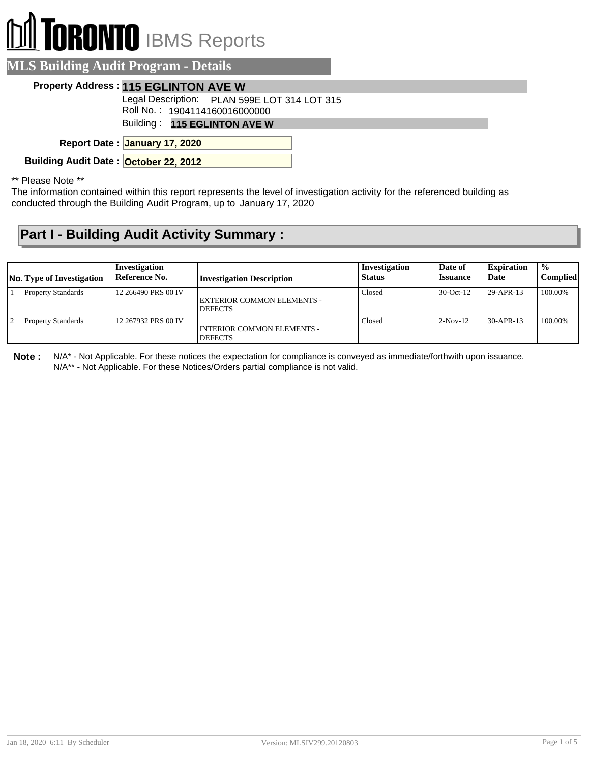## **TORONTO** IBMS Reports

| <b>MLS Building Audit Program - Details</b>                                   |
|-------------------------------------------------------------------------------|
| <b>Property Address: 115 EGLINTON AVE W</b>                                   |
| Legal Description: PLAN 599E LOT 314 LOT 315<br>Roll No.: 1904114160016000000 |
| Building: 115 EGLINTON AVE W                                                  |
| Report Date: January 17, 2020                                                 |
| Building Audit Date: October 22, 2012                                         |
|                                                                               |

\*\* Please Note \*\*

The information contained within this report represents the level of investigation activity for the referenced building as conducted through the Building Audit Program, up to January 17, 2020

## **Part I - Building Audit Activity Summary :**

| <b>No.</b> Type of Investigation | Investigation<br>Reference No. | <b>Investigation Description</b>                    | Investigation<br><b>Status</b> | Date of<br><b>Issuance</b> | <b>Expiration</b><br>Date | $\frac{0}{0}$<br><b>Complied</b> |
|----------------------------------|--------------------------------|-----------------------------------------------------|--------------------------------|----------------------------|---------------------------|----------------------------------|
| <b>Property Standards</b>        | 12 266490 PRS 00 IV            | EXTERIOR COMMON ELEMENTS -<br><b>DEFECTS</b>        | Closed                         | $30$ -Oct-12               | 29-APR-13                 | 100.00%                          |
| <b>Property Standards</b>        | 12 267932 PRS 00 IV            | <b>INTERIOR COMMON ELEMENTS -</b><br><b>DEFECTS</b> | Closed                         | $2-Nov-12$                 | 30-APR-13                 | 100.00%                          |

**Note :** N/A\* - Not Applicable. For these notices the expectation for compliance is conveyed as immediate/forthwith upon issuance. N/A\*\* - Not Applicable. For these Notices/Orders partial compliance is not valid.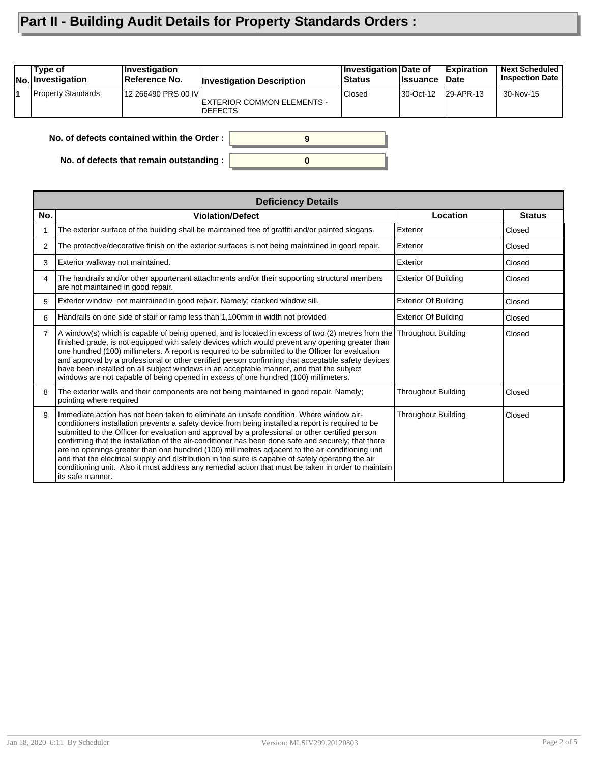## **Part II - Building Audit Details for Property Standards Orders :**

| Type of<br><b>No. Investigation</b> | ∣Investiqation<br>∣Reference No. | <b>Investigation Description</b>             | <b>Investigation Date of</b><br><b>Status</b> | ∣Issuance | Expiration<br><b>Date</b> | <b>Next Scheduled</b><br><b>Inspection Date</b> |
|-------------------------------------|----------------------------------|----------------------------------------------|-----------------------------------------------|-----------|---------------------------|-------------------------------------------------|
| <b>Property Standards</b>           | 12 266490 PRS 00 IVI             | EXTERIOR COMMON ELEMENTS -<br><b>DEFECTS</b> | Closed                                        | 30-Oct-12 | $ 29 - APR - 13 $         | 30-Nov-15                                       |
|                                     |                                  |                                              |                                               |           |                           |                                                 |

**0**

**9**

**No. of defects contained within the Order :**

**No. of defects that remain outstanding :**

|                | <b>Deficiency Details</b>                                                                                                                                                                                                                                                                                                                                                                                                                                                                                                                                                                                                                                                                                                                      |                             |               |  |  |  |  |
|----------------|------------------------------------------------------------------------------------------------------------------------------------------------------------------------------------------------------------------------------------------------------------------------------------------------------------------------------------------------------------------------------------------------------------------------------------------------------------------------------------------------------------------------------------------------------------------------------------------------------------------------------------------------------------------------------------------------------------------------------------------------|-----------------------------|---------------|--|--|--|--|
| No.            | <b>Violation/Defect</b>                                                                                                                                                                                                                                                                                                                                                                                                                                                                                                                                                                                                                                                                                                                        | Location                    | <b>Status</b> |  |  |  |  |
|                | The exterior surface of the building shall be maintained free of graffiti and/or painted slogans.                                                                                                                                                                                                                                                                                                                                                                                                                                                                                                                                                                                                                                              | Exterior                    | Closed        |  |  |  |  |
| 2              | The protective/decorative finish on the exterior surfaces is not being maintained in good repair.                                                                                                                                                                                                                                                                                                                                                                                                                                                                                                                                                                                                                                              | Exterior                    | Closed        |  |  |  |  |
| 3              | Exterior walkway not maintained.                                                                                                                                                                                                                                                                                                                                                                                                                                                                                                                                                                                                                                                                                                               | Exterior                    | Closed        |  |  |  |  |
| 4              | The handrails and/or other appurtenant attachments and/or their supporting structural members<br>are not maintained in good repair.                                                                                                                                                                                                                                                                                                                                                                                                                                                                                                                                                                                                            | <b>Exterior Of Building</b> | Closed        |  |  |  |  |
| 5              | Exterior window not maintained in good repair. Namely; cracked window sill.                                                                                                                                                                                                                                                                                                                                                                                                                                                                                                                                                                                                                                                                    | <b>Exterior Of Building</b> | Closed        |  |  |  |  |
| 6              | Handrails on one side of stair or ramp less than 1,100mm in width not provided                                                                                                                                                                                                                                                                                                                                                                                                                                                                                                                                                                                                                                                                 | <b>Exterior Of Building</b> | Closed        |  |  |  |  |
| $\overline{7}$ | A window(s) which is capable of being opened, and is located in excess of two (2) metres from the<br>finished grade, is not equipped with safety devices which would prevent any opening greater than<br>one hundred (100) millimeters. A report is required to be submitted to the Officer for evaluation<br>and approval by a professional or other certified person confirming that acceptable safety devices<br>have been installed on all subject windows in an acceptable manner, and that the subject<br>windows are not capable of being opened in excess of one hundred (100) millimeters.                                                                                                                                            | <b>Throughout Building</b>  | Closed        |  |  |  |  |
| 8              | The exterior walls and their components are not being maintained in good repair. Namely;<br>pointing where required                                                                                                                                                                                                                                                                                                                                                                                                                                                                                                                                                                                                                            | <b>Throughout Building</b>  | Closed        |  |  |  |  |
| 9              | Immediate action has not been taken to eliminate an unsafe condition. Where window air-<br>conditioners installation prevents a safety device from being installed a report is required to be<br>submitted to the Officer for evaluation and approval by a professional or other certified person<br>confirming that the installation of the air-conditioner has been done safe and securely; that there<br>are no openings greater than one hundred (100) millimetres adjacent to the air conditioning unit<br>and that the electrical supply and distribution in the suite is capable of safely operating the air<br>conditioning unit. Also it must address any remedial action that must be taken in order to maintain<br>its safe manner. | <b>Throughout Building</b>  | Closed        |  |  |  |  |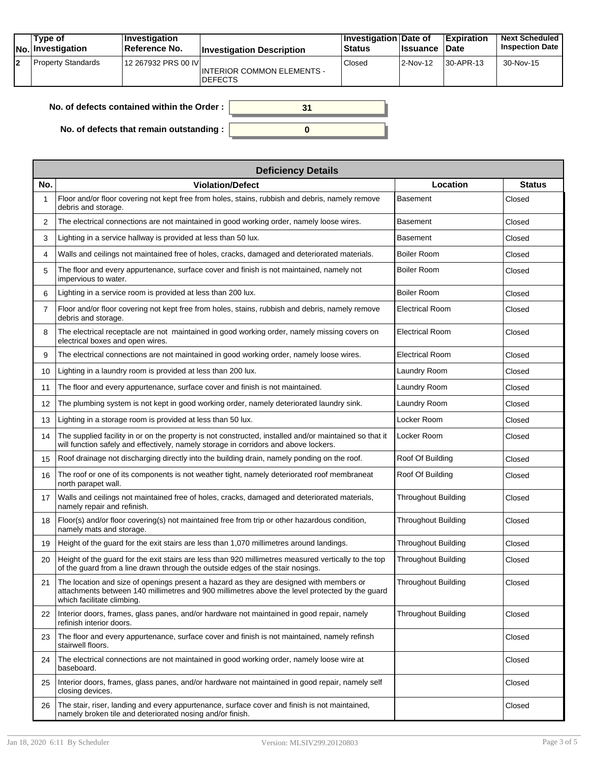|    | Type of<br><b>No.</b> Investigation | ∣Investiqation<br>Reference No. | <b>Investigation Description</b>                    | <b>Investigation Date of</b><br><b>Status</b> | <b>Issuance</b> | <b>Expiration</b><br>Date | <b>Next Scheduled</b><br><b>Inspection Date</b> |
|----|-------------------------------------|---------------------------------|-----------------------------------------------------|-----------------------------------------------|-----------------|---------------------------|-------------------------------------------------|
| 12 | <b>Property Standards</b>           | 12 267932 PRS 00 IVI            | <b>INTERIOR COMMON ELEMENTS -</b><br><b>DEFECTS</b> | Closed                                        | 2-Nov-12        | 30-APR-13                 | 30-Nov-15                                       |

| No. of defects contained within the Order:       |  |
|--------------------------------------------------|--|
| No. of defects that remain outstanding : $\vert$ |  |

|                | <b>Deficiency Details</b>                                                                                                                                                                                               |                            |               |  |  |  |  |  |
|----------------|-------------------------------------------------------------------------------------------------------------------------------------------------------------------------------------------------------------------------|----------------------------|---------------|--|--|--|--|--|
| No.            | <b>Violation/Defect</b>                                                                                                                                                                                                 | Location                   | <b>Status</b> |  |  |  |  |  |
| 1              | Floor and/or floor covering not kept free from holes, stains, rubbish and debris, namely remove<br>debris and storage.                                                                                                  | <b>Basement</b>            | Closed        |  |  |  |  |  |
| 2              | The electrical connections are not maintained in good working order, namely loose wires.                                                                                                                                | <b>Basement</b>            | Closed        |  |  |  |  |  |
| 3              | Lighting in a service hallway is provided at less than 50 lux.                                                                                                                                                          | <b>Basement</b>            | Closed        |  |  |  |  |  |
| 4              | Walls and ceilings not maintained free of holes, cracks, damaged and deteriorated materials.                                                                                                                            | <b>Boiler Room</b>         | Closed        |  |  |  |  |  |
| 5              | The floor and every appurtenance, surface cover and finish is not maintained, namely not<br>impervious to water.                                                                                                        | <b>Boiler Room</b>         | Closed        |  |  |  |  |  |
| 6              | Lighting in a service room is provided at less than 200 lux.                                                                                                                                                            | <b>Boiler Room</b>         | Closed        |  |  |  |  |  |
| $\overline{7}$ | Floor and/or floor covering not kept free from holes, stains, rubbish and debris, namely remove<br>debris and storage.                                                                                                  | <b>Electrical Room</b>     | Closed        |  |  |  |  |  |
| 8              | The electrical receptacle are not maintained in good working order, namely missing covers on<br>electrical boxes and open wires.                                                                                        | <b>Electrical Room</b>     | Closed        |  |  |  |  |  |
| 9              | The electrical connections are not maintained in good working order, namely loose wires.                                                                                                                                | <b>Electrical Room</b>     | Closed        |  |  |  |  |  |
| 10             | Lighting in a laundry room is provided at less than 200 lux.                                                                                                                                                            | Laundry Room               | Closed        |  |  |  |  |  |
| 11             | The floor and every appurtenance, surface cover and finish is not maintained.                                                                                                                                           | Laundry Room               | Closed        |  |  |  |  |  |
| 12             | The plumbing system is not kept in good working order, namely deteriorated laundry sink.                                                                                                                                | Laundry Room               | Closed        |  |  |  |  |  |
| 13             | Lighting in a storage room is provided at less than 50 lux.                                                                                                                                                             | Locker Room                | Closed        |  |  |  |  |  |
| 14             | The supplied facility in or on the property is not constructed, installed and/or maintained so that it<br>will function safely and effectively, namely storage in corridors and above lockers.                          | Locker Room                | Closed        |  |  |  |  |  |
| 15             | Roof drainage not discharging directly into the building drain, namely ponding on the roof.                                                                                                                             | Roof Of Building           | Closed        |  |  |  |  |  |
| 16             | The roof or one of its components is not weather tight, namely deteriorated roof membraneat<br>north parapet wall.                                                                                                      | Roof Of Building           | Closed        |  |  |  |  |  |
| 17             | Walls and ceilings not maintained free of holes, cracks, damaged and deteriorated materials,<br>namely repair and refinish.                                                                                             | <b>Throughout Building</b> | Closed        |  |  |  |  |  |
| 18             | Floor(s) and/or floor covering(s) not maintained free from trip or other hazardous condition,<br>namely mats and storage.                                                                                               | <b>Throughout Building</b> | Closed        |  |  |  |  |  |
| 19             | Height of the guard for the exit stairs are less than 1,070 millimetres around landings.                                                                                                                                | <b>Throughout Building</b> | Closed        |  |  |  |  |  |
| 20             | Height of the guard for the exit stairs are less than 920 millimetres measured vertically to the top<br>of the guard from a line drawn through the outside edges of the stair nosings.                                  | <b>Throughout Building</b> | Closed        |  |  |  |  |  |
| 21             | The location and size of openings present a hazard as they are designed with members or<br>attachments between 140 millimetres and 900 millimetres above the level protected by the guard<br>which facilitate climbing. | Throughout Building        | Closed        |  |  |  |  |  |
| 22             | Interior doors, frames, glass panes, and/or hardware not maintained in good repair, namely<br>refinish interior doors.                                                                                                  | <b>Throughout Building</b> | Closed        |  |  |  |  |  |
| 23             | The floor and every appurtenance, surface cover and finish is not maintained, namely refinsh<br>stairwell floors.                                                                                                       |                            | Closed        |  |  |  |  |  |
| 24             | The electrical connections are not maintained in good working order, namely loose wire at<br>baseboard.                                                                                                                 |                            | Closed        |  |  |  |  |  |
| 25             | Interior doors, frames, glass panes, and/or hardware not maintained in good repair, namely self<br>closing devices.                                                                                                     |                            | Closed        |  |  |  |  |  |
| 26             | The stair, riser, landing and every appurtenance, surface cover and finish is not maintained,<br>namely broken tile and deteriorated nosing and/or finish.                                                              |                            | Closed        |  |  |  |  |  |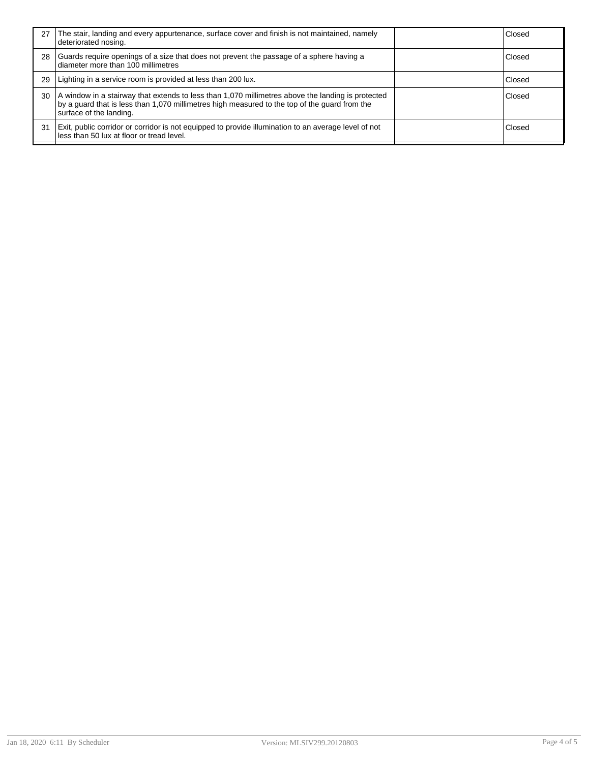| 27 | The stair, landing and every appurtenance, surface cover and finish is not maintained, namely<br>deteriorated nosing.                                                                                                         | Closed |
|----|-------------------------------------------------------------------------------------------------------------------------------------------------------------------------------------------------------------------------------|--------|
| 28 | Guards require openings of a size that does not prevent the passage of a sphere having a<br>diameter more than 100 millimetres                                                                                                | Closed |
| 29 | Lighting in a service room is provided at less than 200 lux.                                                                                                                                                                  | Closed |
| 30 | A window in a stairway that extends to less than 1,070 millimetres above the landing is protected<br>by a guard that is less than 1,070 millimetres high measured to the top of the guard from the<br>surface of the landing. | Closed |
| 31 | Exit, public corridor or corridor is not equipped to provide illumination to an average level of not<br>less than 50 lux at floor or tread level.                                                                             | Closed |